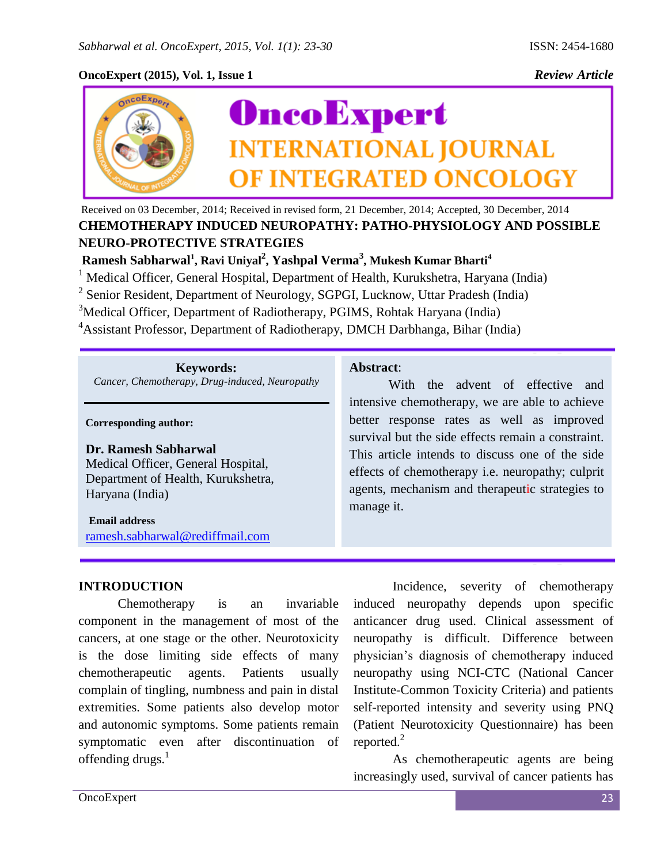## **OncoExpert (2015), Vol. 1, Issue 1** *Review Article*



Received on 03 December, 2014; Received in revised form, 21 December, 2014; Accepted, 30 December, 2014 **CHEMOTHERAPY INDUCED NEUROPATHY: PATHO-PHYSIOLOGY AND POSSIBLE NEURO-PROTECTIVE STRATEGIES**

**Ramesh Sabharwal<sup>1</sup> , Ravi Uniyal<sup>2</sup> , Yashpal Verma<sup>3</sup> , Mukesh Kumar Bharti<sup>4</sup>**

<sup>1</sup> Medical Officer, General Hospital, Department of Health, Kurukshetra, Haryana (India)

<sup>2</sup> Senior Resident, Department of Neurology, SGPGI, Lucknow, Uttar Pradesh (India)

<sup>3</sup>Medical Officer, Department of Radiotherapy, PGIMS, Rohtak Haryana (India)

<sup>4</sup>Assistant Professor, Department of Radiotherapy, DMCH Darbhanga, Bihar (India)

**Keywords:** *Cancer, Chemotherapy, Drug-induced, Neuropathy*

**Corresponding author:**

#### **Dr. Ramesh Sabharwal**

Medical Officer, General Hospital, Department of Health, Kurukshetra, Haryana (India)

#### **Email address**

[ramesh.sabharwal@rediffmail.com](mailto:ramesh.sabharwal@rediffmail.com)

### **INTRODUCTION**

Chemotherapy is an invariable component in the management of most of the cancers, at one stage or the other. Neurotoxicity is the dose limiting side effects of many chemotherapeutic agents. Patients usually complain of tingling, numbness and pain in distal extremities. Some patients also develop motor and autonomic symptoms. Some patients remain symptomatic even after discontinuation of offending drugs.<sup>1</sup>

### **Abstract**:

With the advent of effective and intensive chemotherapy, we are able to achieve better response rates as well as improved survival but the side effects remain a constraint. This article intends to discuss one of the side effects of chemotherapy i.e. neuropathy; culprit agents, mechanism and therapeutic strategies to manage it.

Incidence, severity of chemotherapy induced neuropathy depends upon specific anticancer drug used. Clinical assessment of neuropathy is difficult. Difference between physician's diagnosis of chemotherapy induced neuropathy using NCI-CTC (National Cancer Institute-Common Toxicity Criteria) and patients self-reported intensity and severity using PNQ (Patient Neurotoxicity Questionnaire) has been reported. $^{2}$ 

As chemotherapeutic agents are being increasingly used, survival of cancer patients has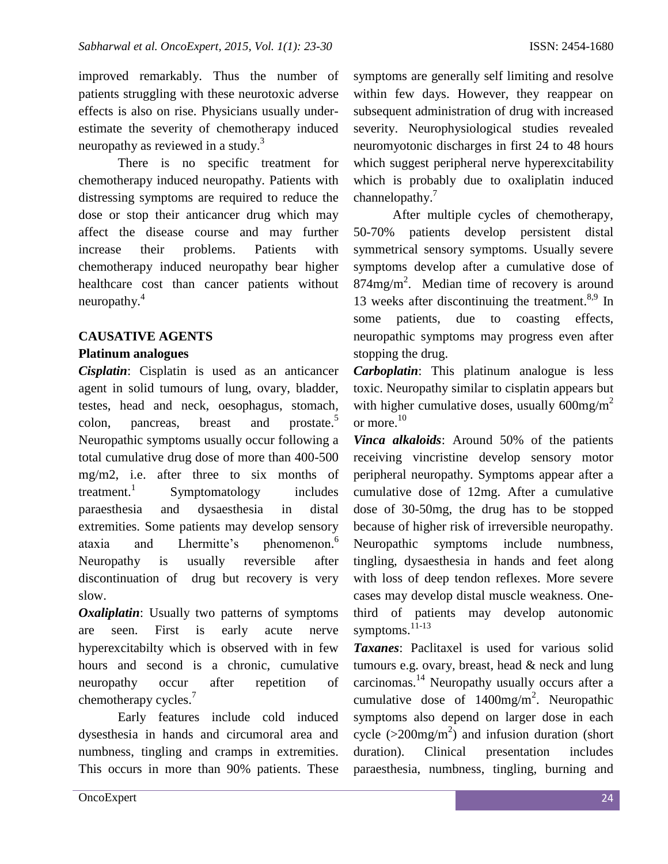improved remarkably. Thus the number of patients struggling with these neurotoxic adverse effects is also on rise. Physicians usually underestimate the severity of chemotherapy induced neuropathy as reviewed in a study.<sup>3</sup>

There is no specific treatment for chemotherapy induced neuropathy. Patients with distressing symptoms are required to reduce the dose or stop their anticancer drug which may affect the disease course and may further increase their problems. Patients with chemotherapy induced neuropathy bear higher healthcare cost than cancer patients without neuropathy.<sup>4</sup>

### **CAUSATIVE AGENTS**

### **Platinum analogues**

*Cisplatin*: Cisplatin is used as an anticancer agent in solid tumours of lung, ovary, bladder, testes, head and neck, oesophagus, stomach, colon, pancreas, breast and prostate.<sup>5</sup> Neuropathic symptoms usually occur following a total cumulative drug dose of more than 400-500 mg/m2, i.e. after three to six months of treatment. $1$ Symptomatology includes paraesthesia and dysaesthesia in distal extremities. Some patients may develop sensory ataxia and Lhermitte's phenomenon. 6 Neuropathy is usually reversible after discontinuation of drug but recovery is very slow.

*Oxaliplatin*: Usually two patterns of symptoms are seen. First is early acute nerve hyperexcitabilty which is observed with in few hours and second is a chronic, cumulative neuropathy occur after repetition of chemotherapy cycles.<sup>7</sup>

Early features include cold induced dysesthesia in hands and circumoral area and numbness, tingling and cramps in extremities. This occurs in more than 90% patients. These

symptoms are generally self limiting and resolve within few days. However, they reappear on subsequent administration of drug with increased severity. Neurophysiological studies revealed neuromyotonic discharges in first 24 to 48 hours which suggest peripheral nerve hyperexcitability which is probably due to oxaliplatin induced channelopathy.<sup>7</sup>

After multiple cycles of chemotherapy, 50-70% patients develop persistent distal symmetrical sensory symptoms. Usually severe symptoms develop after a cumulative dose of  $874$ mg/m<sup>2</sup>. Median time of recovery is around 13 weeks after discontinuing the treatment.<sup>8,9</sup> In some patients, due to coasting effects, neuropathic symptoms may progress even after stopping the drug.

*Carboplatin*: This platinum analogue is less toxic. Neuropathy similar to cisplatin appears but with higher cumulative doses, usually  $600mg/m^2$ or more. $10$ 

*Vinca alkaloids*: Around 50% of the patients receiving vincristine develop sensory motor peripheral neuropathy. Symptoms appear after a cumulative dose of 12mg. After a cumulative dose of 30-50mg, the drug has to be stopped because of higher risk of irreversible neuropathy. Neuropathic symptoms include numbness, tingling, dysaesthesia in hands and feet along with loss of deep tendon reflexes. More severe cases may develop distal muscle weakness. Onethird of patients may develop autonomic symptoms. 11-13

*Taxanes*: Paclitaxel is used for various solid tumours e.g. ovary, breast, head & neck and lung carcinomas.<sup>14</sup> Neuropathy usually occurs after a cumulative dose of  $1400mg/m^2$ . Neuropathic symptoms also depend on larger dose in each cycle ( $>$ 200mg/m<sup>2</sup>) and infusion duration (short duration). Clinical presentation includes paraesthesia, numbness, tingling, burning and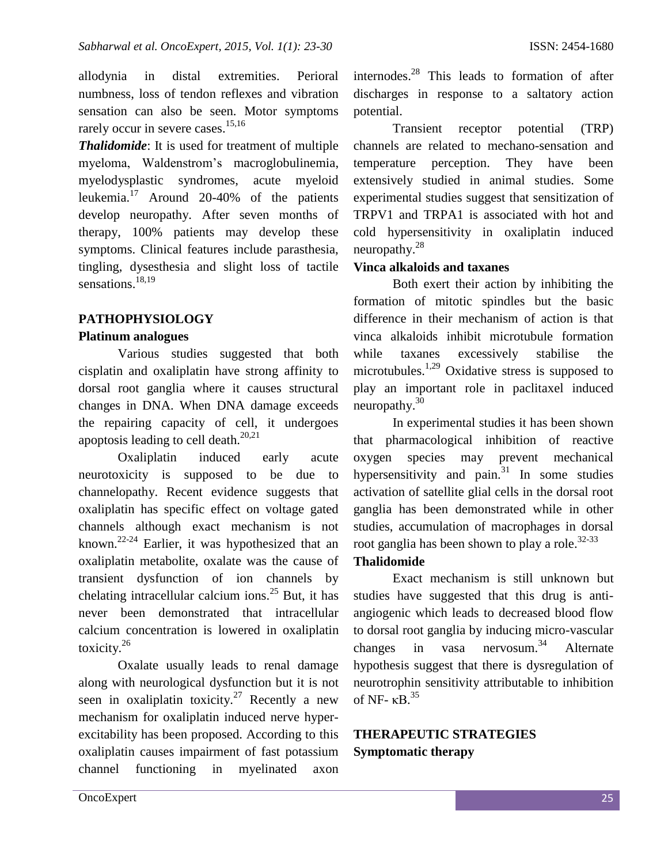allodynia in distal extremities. Perioral numbness, loss of tendon reflexes and vibration sensation can also be seen. Motor symptoms rarely occur in severe cases.<sup>15,16</sup>

*Thalidomide*: It is used for treatment of multiple myeloma, Waldenstrom's macroglobulinemia, myelodysplastic syndromes, acute myeloid leukemia. <sup>17</sup> Around 20-40% of the patients develop neuropathy. After seven months of therapy, 100% patients may develop these symptoms. Clinical features include parasthesia, tingling, dysesthesia and slight loss of tactile sensations. 18,19

### **PATHOPHYSIOLOGY**

### **Platinum analogues**

Various studies suggested that both cisplatin and oxaliplatin have strong affinity to dorsal root ganglia where it causes structural changes in DNA. When DNA damage exceeds the repairing capacity of cell, it undergoes apoptosis leading to cell death. $20,21$ 

Oxaliplatin induced early acute neurotoxicity is supposed to be due to channelopathy. Recent evidence suggests that oxaliplatin has specific effect on voltage gated channels although exact mechanism is not known. 22-24 Earlier, it was hypothesized that an oxaliplatin metabolite, oxalate was the cause of transient dysfunction of ion channels by chelating intracellular calcium ions.<sup>25</sup> But, it has never been demonstrated that intracellular calcium concentration is lowered in oxaliplatin toxicity.<sup>26</sup>

Oxalate usually leads to renal damage along with neurological dysfunction but it is not seen in oxaliplatin toxicity.<sup>27</sup> Recently a new mechanism for oxaliplatin induced nerve hyperexcitability has been proposed. According to this oxaliplatin causes impairment of fast potassium channel functioning in myelinated axon

internodes. <sup>28</sup> This leads to formation of after discharges in response to a saltatory action potential.

Transient receptor potential (TRP) channels are related to mechano-sensation and temperature perception. They have been extensively studied in animal studies. Some experimental studies suggest that sensitization of TRPV1 and TRPA1 is associated with hot and cold hypersensitivity in oxaliplatin induced neuropathy. $^{28}$ 

### **Vinca alkaloids and taxanes**

Both exert their action by inhibiting the formation of mitotic spindles but the basic difference in their mechanism of action is that vinca alkaloids inhibit microtubule formation while taxanes excessively stabilise the microtubules.<sup>1,29</sup> Oxidative stress is supposed to play an important role in paclitaxel induced neuropathy. $30<sup>30</sup>$ 

In experimental studies it has been shown that pharmacological inhibition of reactive oxygen species may prevent mechanical hypersensitivity and pain. $31$  In some studies activation of satellite glial cells in the dorsal root ganglia has been demonstrated while in other studies, accumulation of macrophages in dorsal root ganglia has been shown to play a role.<sup>32-33</sup>

#### **Thalidomide**

Exact mechanism is still unknown but studies have suggested that this drug is antiangiogenic which leads to decreased blood flow to dorsal root ganglia by inducing micro-vascular changes in vasa nervosum.<sup>34</sup> Alternate hypothesis suggest that there is dysregulation of neurotrophin sensitivity attributable to inhibition of NF-  $\kappa$ B.<sup>35</sup>

# **THERAPEUTIC STRATEGIES Symptomatic therapy**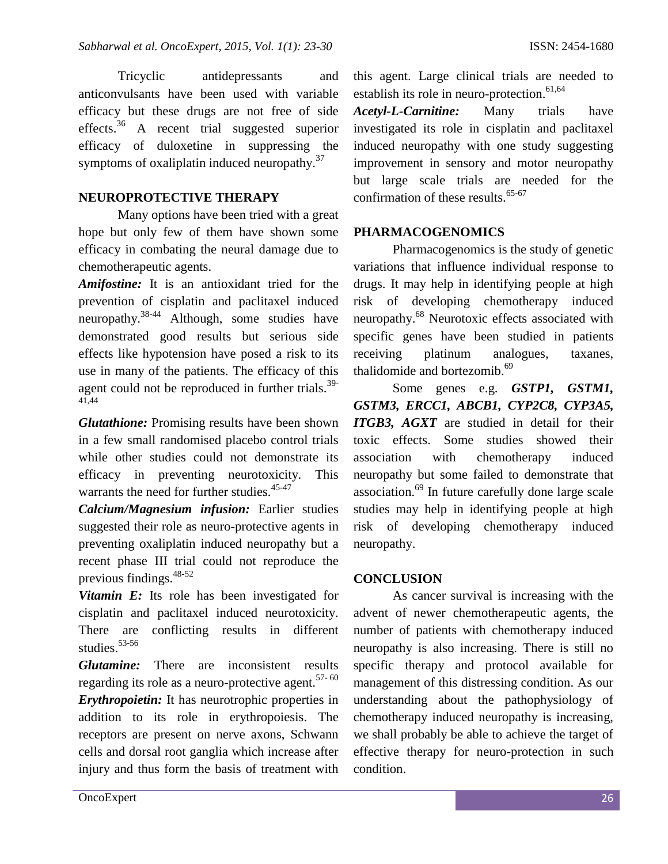Tricyclic antidepressants and anticonvulsants have been used with variable efficacy but these drugs are not free of side effects.<sup>36</sup> A recent trial suggested superior efficacy of duloxetine in suppressing the symptoms of oxaliplatin induced neuropathy.<sup>37</sup>

### **NEUROPROTECTIVE THERAPY**

Many options have been tried with a great hope but only few of them have shown some efficacy in combating the neural damage due to chemotherapeutic agents.

*Amifostine:* It is an antioxidant tried for the prevention of cisplatin and paclitaxel induced neuropathy.38-44 Although, some studies have demonstrated good results but serious side effects like hypotension have posed a risk to its use in many of the patients. The efficacy of this agent could not be reproduced in further trials. $39-$ 41,44

*Glutathione:* Promising results have been shown in a few small randomised placebo control trials while other studies could not demonstrate its efficacy in preventing neurotoxicity. This warrants the need for further studies.<sup>45-47</sup>

*Calcium/Magnesium infusion:* Earlier studies suggested their role as neuro-protective agents in preventing oxaliplatin induced neuropathy but a recent phase III trial could not reproduce the previous findings.48-52

**Vitamin E:** Its role has been investigated for cisplatin and paclitaxel induced neurotoxicity. There are conflicting results in different studies. $53-56$ 

*Glutamine:* There are inconsistent results regarding its role as a neuro-protective agent. $57-60$ 

*Erythropoietin:* It has neurotrophic properties in addition to its role in erythropoiesis. The receptors are present on nerve axons, Schwann cells and dorsal root ganglia which increase after injury and thus form the basis of treatment with

this agent. Large clinical trials are needed to establish its role in neuro-protection.<sup>61,64</sup>

*Acetyl-L-Carnitine:* Many trials have investigated its role in cisplatin and paclitaxel induced neuropathy with one study suggesting improvement in sensory and motor neuropathy but large scale trials are needed for the confirmation of these results. $65-67$ 

#### **PHARMACOGENOMICS**

Pharmacogenomics is the study of genetic variations that influence individual response to drugs. It may help in identifying people at high risk of developing chemotherapy induced neuropathy.<sup>68</sup> Neurotoxic effects associated with specific genes have been studied in patients receiving platinum analogues, taxanes, thalidomide and bortezomib.<sup>69</sup>

Some genes e.g. *GSTP1, GSTM1, GSTM3, ERCC1, ABCB1, CYP2C8, CYP3A5, ITGB3, AGXT* are studied in detail for their toxic effects. Some studies showed their association with chemotherapy induced neuropathy but some failed to demonstrate that association.<sup>69</sup> In future carefully done large scale studies may help in identifying people at high risk of developing chemotherapy induced neuropathy.

#### **CONCLUSION**

As cancer survival is increasing with the advent of newer chemotherapeutic agents, the number of patients with chemotherapy induced neuropathy is also increasing. There is still no specific therapy and protocol available for management of this distressing condition. As our understanding about the pathophysiology of chemotherapy induced neuropathy is increasing, we shall probably be able to achieve the target of effective therapy for neuro-protection in such condition.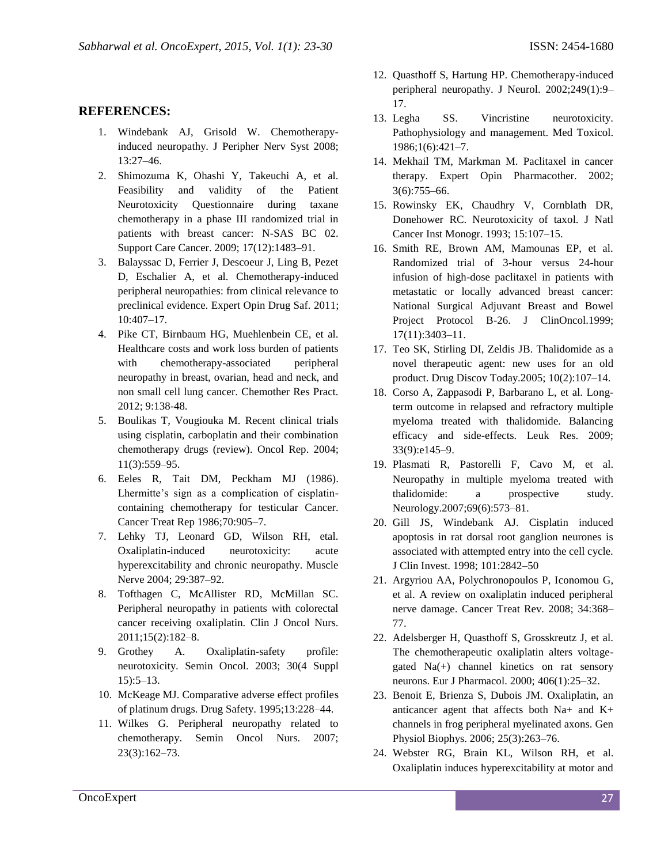### **REFERENCES:**

- 1. Windebank AJ, Grisold W. Chemotherapyinduced neuropathy. J Peripher Nerv Syst 2008; 13:27–46.
- 2. Shimozuma K, Ohashi Y, Takeuchi A, et al. Feasibility and validity of the Patient Neurotoxicity Questionnaire during taxane chemotherapy in a phase III randomized trial in patients with breast cancer: N-SAS BC 02. Support Care Cancer. 2009; 17(12):1483–91.
- 3. Balayssac D, Ferrier J, Descoeur J, Ling B, Pezet D, Eschalier A, et al. Chemotherapy-induced peripheral neuropathies: from clinical relevance to preclinical evidence. Expert Opin Drug Saf. 2011; 10:407–17.
- 4. Pike CT, Birnbaum HG, Muehlenbein CE, et al. Healthcare costs and work loss burden of patients with chemotherapy-associated peripheral neuropathy in breast, ovarian, head and neck, and non small cell lung cancer. Chemother Res Pract. 2012; 9:138-48.
- 5. Boulikas T, Vougiouka M. Recent clinical trials using cisplatin, carboplatin and their combination chemotherapy drugs (review). Oncol Rep. 2004; 11(3):559–95.
- 6. Eeles R, Tait DM, Peckham MJ (1986). Lhermitte's sign as a complication of cisplatincontaining chemotherapy for testicular Cancer. Cancer Treat Rep 1986;70:905–7.
- 7. Lehky TJ, Leonard GD, Wilson RH, etal. Oxaliplatin-induced neurotoxicity: acute hyperexcitability and chronic neuropathy. Muscle Nerve 2004; 29:387–92.
- 8. Tofthagen C, McAllister RD, McMillan SC. Peripheral neuropathy in patients with colorectal cancer receiving oxaliplatin. Clin J Oncol Nurs. 2011;15(2):182–8.
- 9. Grothey A. Oxaliplatin-safety profile: neurotoxicity. Semin Oncol. 2003; 30(4 Suppl 15):5–13.
- 10. McKeage MJ. Comparative adverse effect profiles of platinum drugs. Drug Safety. 1995;13:228–44.
- 11. Wilkes G. Peripheral neuropathy related to chemotherapy. Semin Oncol Nurs. 2007; 23(3):162–73.
- 12. Quasthoff S, Hartung HP. Chemotherapy-induced peripheral neuropathy. J Neurol. 2002;249(1):9– 17.
- 13. Legha SS. Vincristine neurotoxicity. Pathophysiology and management. Med Toxicol. 1986;1(6):421–7.
- 14. Mekhail TM, Markman M. Paclitaxel in cancer therapy. Expert Opin Pharmacother. 2002; 3(6):755–66.
- 15. Rowinsky EK, Chaudhry V, Cornblath DR, Donehower RC. Neurotoxicity of taxol. J Natl Cancer Inst Monogr. 1993; 15:107–15.
- 16. Smith RE, Brown AM, Mamounas EP, et al. Randomized trial of 3-hour versus 24-hour infusion of high-dose paclitaxel in patients with metastatic or locally advanced breast cancer: National Surgical Adjuvant Breast and Bowel Project Protocol B-26. J ClinOncol.1999; 17(11):3403–11.
- 17. Teo SK, Stirling DI, Zeldis JB. Thalidomide as a novel therapeutic agent: new uses for an old product. Drug Discov Today.2005; 10(2):107–14.
- 18. Corso A, Zappasodi P, Barbarano L, et al. Longterm outcome in relapsed and refractory multiple myeloma treated with thalidomide. Balancing efficacy and side-effects. Leuk Res. 2009; 33(9):e145–9.
- 19. Plasmati R, Pastorelli F, Cavo M, et al. Neuropathy in multiple myeloma treated with thalidomide: a prospective study. Neurology.2007;69(6):573–81.
- 20. Gill JS, Windebank AJ. Cisplatin induced apoptosis in rat dorsal root ganglion neurones is associated with attempted entry into the cell cycle. J Clin Invest. 1998; 101:2842–50
- 21. Argyriou AA, Polychronopoulos P, Iconomou G, et al. A review on oxaliplatin induced peripheral nerve damage. Cancer Treat Rev. 2008; 34:368– 77.
- 22. Adelsberger H, Quasthoff S, Grosskreutz J, et al. The chemotherapeutic oxaliplatin alters voltagegated Na(+) channel kinetics on rat sensory neurons. Eur J Pharmacol. 2000; 406(1):25–32.
- 23. Benoit E, Brienza S, Dubois JM. Oxaliplatin, an anticancer agent that affects both Na+ and K+ channels in frog peripheral myelinated axons. Gen Physiol Biophys. 2006; 25(3):263–76.
- 24. Webster RG, Brain KL, Wilson RH, et al. Oxaliplatin induces hyperexcitability at motor and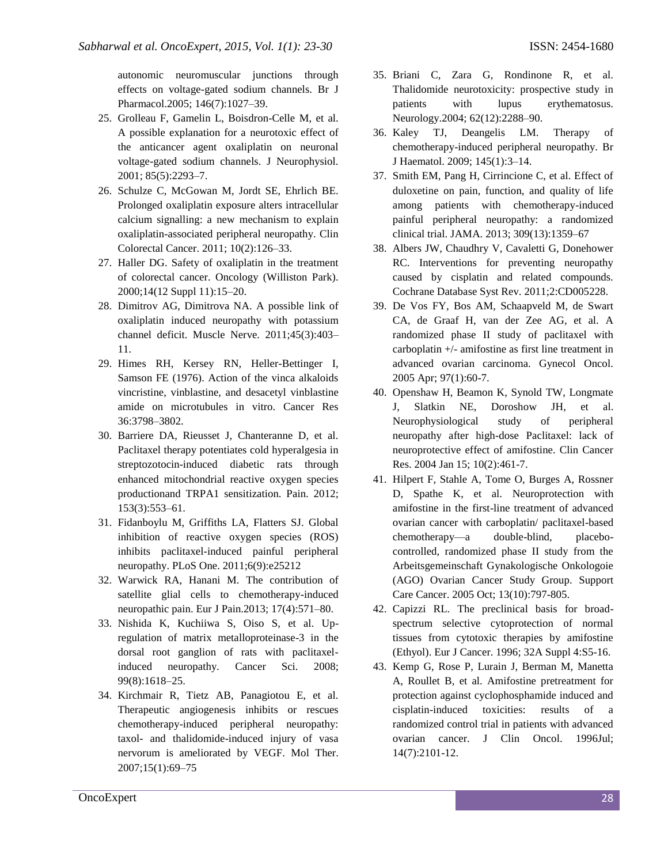autonomic neuromuscular junctions through effects on voltage-gated sodium channels. Br J Pharmacol.2005; 146(7):1027–39.

- 25. Grolleau F, Gamelin L, Boisdron-Celle M, et al. A possible explanation for a neurotoxic effect of the anticancer agent oxaliplatin on neuronal voltage-gated sodium channels. J Neurophysiol. 2001; 85(5):2293–7.
- 26. Schulze C, McGowan M, Jordt SE, Ehrlich BE. Prolonged oxaliplatin exposure alters intracellular calcium signalling: a new mechanism to explain oxaliplatin-associated peripheral neuropathy. Clin Colorectal Cancer. 2011; 10(2):126–33.
- 27. Haller DG. Safety of oxaliplatin in the treatment of colorectal cancer. Oncology (Williston Park). 2000;14(12 Suppl 11):15–20.
- 28. Dimitrov AG, Dimitrova NA. A possible link of oxaliplatin induced neuropathy with potassium channel deficit. Muscle Nerve. 2011;45(3):403– 11.
- 29. Himes RH, Kersey RN, Heller-Bettinger I, Samson FE (1976). Action of the vinca alkaloids vincristine, vinblastine, and desacetyl vinblastine amide on microtubules in vitro. Cancer Res 36:3798–3802.
- 30. Barriere DA, Rieusset J, Chanteranne D, et al. Paclitaxel therapy potentiates cold hyperalgesia in streptozotocin-induced diabetic rats through enhanced mitochondrial reactive oxygen species productionand TRPA1 sensitization. Pain. 2012; 153(3):553–61.
- 31. Fidanboylu M, Griffiths LA, Flatters SJ. Global inhibition of reactive oxygen species (ROS) inhibits paclitaxel-induced painful peripheral neuropathy. PLoS One. 2011;6(9):e25212
- 32. Warwick RA, Hanani M. The contribution of satellite glial cells to chemotherapy-induced neuropathic pain. Eur J Pain.2013; 17(4):571–80.
- 33. Nishida K, Kuchiiwa S, Oiso S, et al. Upregulation of matrix metalloproteinase-3 in the dorsal root ganglion of rats with paclitaxelinduced neuropathy. Cancer Sci. 2008; 99(8):1618–25.
- 34. Kirchmair R, Tietz AB, Panagiotou E, et al. Therapeutic angiogenesis inhibits or rescues chemotherapy-induced peripheral neuropathy: taxol- and thalidomide-induced injury of vasa nervorum is ameliorated by VEGF. Mol Ther. 2007;15(1):69–75
- 35. Briani C, Zara G, Rondinone R, et al. Thalidomide neurotoxicity: prospective study in patients with lupus erythematosus. Neurology.2004; 62(12):2288–90.
- 36. Kaley TJ, Deangelis LM. Therapy of chemotherapy-induced peripheral neuropathy. Br J Haematol. 2009; 145(1):3–14.
- 37. Smith EM, Pang H, Cirrincione C, et al. Effect of duloxetine on pain, function, and quality of life among patients with chemotherapy-induced painful peripheral neuropathy: a randomized clinical trial. JAMA. 2013; 309(13):1359–67
- 38. Albers JW, Chaudhry V, Cavaletti G, Donehower RC. Interventions for preventing neuropathy caused by cisplatin and related compounds. Cochrane Database Syst Rev. 2011;2:CD005228.
- 39. De Vos FY, Bos AM, Schaapveld M, de Swart CA, de Graaf H, van der Zee AG, et al. A randomized phase II study of paclitaxel with carboplatin +/- amifostine as first line treatment in advanced ovarian carcinoma. Gynecol Oncol. 2005 Apr; 97(1):60-7.
- 40. Openshaw H, Beamon K, Synold TW, Longmate J, Slatkin NE, Doroshow JH, et al. Neurophysiological study of peripheral neuropathy after high-dose Paclitaxel: lack of neuroprotective effect of amifostine. Clin Cancer Res. 2004 Jan 15; 10(2):461-7.
- 41. Hilpert F, Stahle A, Tome O, Burges A, Rossner D, Spathe K, et al. Neuroprotection with amifostine in the first-line treatment of advanced ovarian cancer with carboplatin/ paclitaxel-based chemotherapy—a double-blind, placebocontrolled, randomized phase II study from the Arbeitsgemeinschaft Gynakologische Onkologoie (AGO) Ovarian Cancer Study Group. Support Care Cancer. 2005 Oct; 13(10):797-805.
- 42. Capizzi RL. The preclinical basis for broadspectrum selective cytoprotection of normal tissues from cytotoxic therapies by amifostine (Ethyol). Eur J Cancer. 1996; 32A Suppl 4:S5-16.
- 43. Kemp G, Rose P, Lurain J, Berman M, Manetta A, Roullet B, et al. Amifostine pretreatment for protection against cyclophosphamide induced and cisplatin-induced toxicities: results of a randomized control trial in patients with advanced ovarian cancer. J Clin Oncol. 1996Jul; 14(7):2101-12.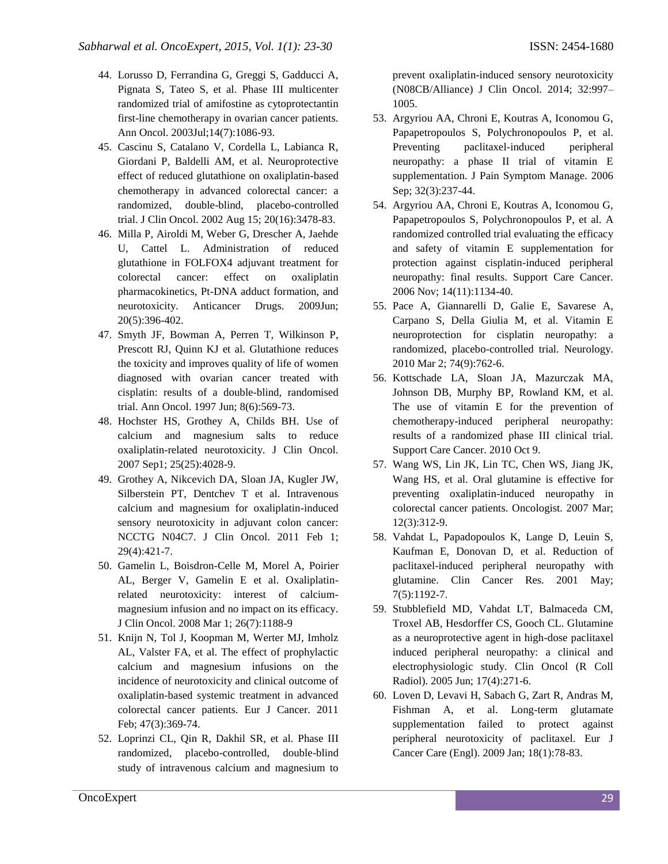- 44. Lorusso D, Ferrandina G, Greggi S, Gadducci A, Pignata S, Tateo S, et al. Phase III multicenter randomized trial of amifostine as cytoprotectantin first-line chemotherapy in ovarian cancer patients. Ann Oncol. 2003Jul;14(7):1086-93.
- 45. Cascinu S, Catalano V, Cordella L, Labianca R, Giordani P, Baldelli AM, et al. Neuroprotective effect of reduced glutathione on oxaliplatin-based chemotherapy in advanced colorectal cancer: a randomized, double-blind, placebo-controlled trial. J Clin Oncol. 2002 Aug 15; 20(16):3478-83.
- 46. Milla P, Airoldi M, Weber G, Drescher A, Jaehde U, Cattel L. Administration of reduced glutathione in FOLFOX4 adjuvant treatment for colorectal cancer: effect on oxaliplatin pharmacokinetics, Pt-DNA adduct formation, and neurotoxicity. Anticancer Drugs. 2009Jun; 20(5):396-402.
- 47. Smyth JF, Bowman A, Perren T, Wilkinson P, Prescott RJ, Quinn KJ et al. Glutathione reduces the toxicity and improves quality of life of women diagnosed with ovarian cancer treated with cisplatin: results of a double-blind, randomised trial. Ann Oncol. 1997 Jun; 8(6):569-73.
- 48. Hochster HS, Grothey A, Childs BH. Use of calcium and magnesium salts to reduce oxaliplatin-related neurotoxicity. J Clin Oncol. 2007 Sep1; 25(25):4028-9.
- 49. Grothey A, Nikcevich DA, Sloan JA, Kugler JW, Silberstein PT, Dentchev T et al. Intravenous calcium and magnesium for oxaliplatin-induced sensory neurotoxicity in adjuvant colon cancer: NCCTG N04C7. J Clin Oncol. 2011 Feb 1; 29(4):421-7.
- 50. Gamelin L, Boisdron-Celle M, Morel A, Poirier AL, Berger V, Gamelin E et al. Oxaliplatinrelated neurotoxicity: interest of calciummagnesium infusion and no impact on its efficacy. J Clin Oncol. 2008 Mar 1; 26(7):1188-9
- 51. Knijn N, Tol J, Koopman M, Werter MJ, Imholz AL, Valster FA, et al. The effect of prophylactic calcium and magnesium infusions on the incidence of neurotoxicity and clinical outcome of oxaliplatin-based systemic treatment in advanced colorectal cancer patients. Eur J Cancer. 2011 Feb; 47(3):369-74.
- 52. Loprinzi CL, Qin R, Dakhil SR, et al. Phase III randomized, placebo-controlled, double-blind study of intravenous calcium and magnesium to

prevent oxaliplatin-induced sensory neurotoxicity (N08CB/Alliance) J Clin Oncol. 2014; 32:997– 1005.

- 53. Argyriou AA, Chroni E, Koutras A, Iconomou G, Papapetropoulos S, Polychronopoulos P, et al. Preventing paclitaxel-induced peripheral neuropathy: a phase II trial of vitamin E supplementation. J Pain Symptom Manage. 2006 Sep; 32(3):237-44.
- 54. Argyriou AA, Chroni E, Koutras A, Iconomou G, Papapetropoulos S, Polychronopoulos P, et al. A randomized controlled trial evaluating the efficacy and safety of vitamin E supplementation for protection against cisplatin-induced peripheral neuropathy: final results. Support Care Cancer. 2006 Nov; 14(11):1134-40.
- 55. Pace A, Giannarelli D, Galie E, Savarese A, Carpano S, Della Giulia M, et al. Vitamin E neuroprotection for cisplatin neuropathy: a randomized, placebo-controlled trial. Neurology. 2010 Mar 2; 74(9):762-6.
- 56. Kottschade LA, Sloan JA, Mazurczak MA, Johnson DB, Murphy BP, Rowland KM, et al. The use of vitamin E for the prevention of chemotherapy-induced peripheral neuropathy: results of a randomized phase III clinical trial. Support Care Cancer. 2010 Oct 9.
- 57. Wang WS, Lin JK, Lin TC, Chen WS, Jiang JK, Wang HS, et al. Oral glutamine is effective for preventing oxaliplatin-induced neuropathy in colorectal cancer patients. Oncologist. 2007 Mar; 12(3):312-9.
- 58. Vahdat L, Papadopoulos K, Lange D, Leuin S, Kaufman E, Donovan D, et al. Reduction of paclitaxel-induced peripheral neuropathy with glutamine. Clin Cancer Res. 2001 May; 7(5):1192-7.
- 59. Stubblefield MD, Vahdat LT, Balmaceda CM, Troxel AB, Hesdorffer CS, Gooch CL. Glutamine as a neuroprotective agent in high-dose paclitaxel induced peripheral neuropathy: a clinical and electrophysiologic study. Clin Oncol (R Coll Radiol). 2005 Jun; 17(4):271-6.
- 60. Loven D, Levavi H, Sabach G, Zart R, Andras M, Fishman A, et al. Long-term glutamate supplementation failed to protect against peripheral neurotoxicity of paclitaxel. Eur J Cancer Care (Engl). 2009 Jan; 18(1):78-83.